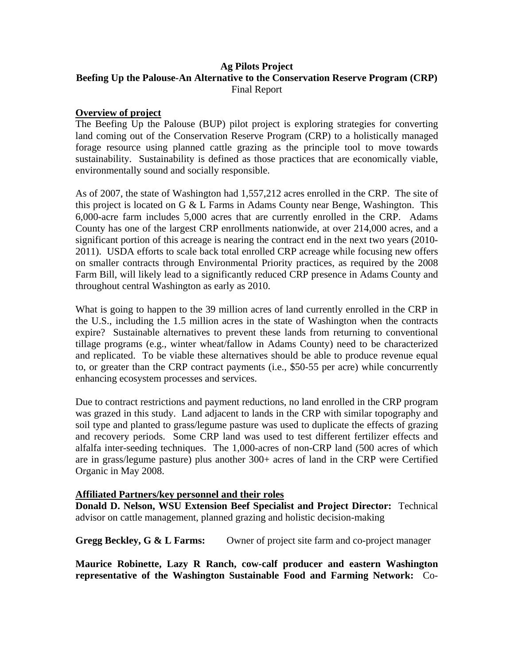# **Ag Pilots Project Beefing Up the Palouse-An Alternative to the Conservation Reserve Program (CRP)**  Final Report

## **Overview of project**

The Beefing Up the Palouse (BUP) pilot project is exploring strategies for converting land coming out of the Conservation Reserve Program (CRP) to a holistically managed forage resource using planned cattle grazing as the principle tool to move towards sustainability. Sustainability is defined as those practices that are economically viable, environmentally sound and socially responsible.

As of 2007, the state of Washington had 1,557,212 acres enrolled in the CRP. The site of this project is located on G & L Farms in Adams County near Benge, Washington. This 6,000-acre farm includes 5,000 acres that are currently enrolled in the CRP. Adams County has one of the largest CRP enrollments nationwide, at over 214,000 acres, and a significant portion of this acreage is nearing the contract end in the next two years (2010- 2011). USDA efforts to scale back total enrolled CRP acreage while focusing new offers on smaller contracts through Environmental Priority practices, as required by the 2008 Farm Bill, will likely lead to a significantly reduced CRP presence in Adams County and throughout central Washington as early as 2010.

What is going to happen to the 39 million acres of land currently enrolled in the CRP in the U.S., including the 1.5 million acres in the state of Washington when the contracts expire? Sustainable alternatives to prevent these lands from returning to conventional tillage programs (e.g., winter wheat/fallow in Adams County) need to be characterized and replicated. To be viable these alternatives should be able to produce revenue equal to, or greater than the CRP contract payments (i.e., \$50-55 per acre) while concurrently enhancing ecosystem processes and services.

Due to contract restrictions and payment reductions, no land enrolled in the CRP program was grazed in this study. Land adjacent to lands in the CRP with similar topography and soil type and planted to grass/legume pasture was used to duplicate the effects of grazing and recovery periods. Some CRP land was used to test different fertilizer effects and alfalfa inter-seeding techniques. The 1,000-acres of non-CRP land (500 acres of which are in grass/legume pasture) plus another 300+ acres of land in the CRP were Certified Organic in May 2008.

## **Affiliated Partners/key personnel and their roles**

**Donald D. Nelson, WSU Extension Beef Specialist and Project Director:** Technical advisor on cattle management, planned grazing and holistic decision-making

**Gregg Beckley, G & L Farms:** Owner of project site farm and co-project manager

**Maurice Robinette, Lazy R Ranch, cow-calf producer and eastern Washington representative of the Washington Sustainable Food and Farming Network:** Co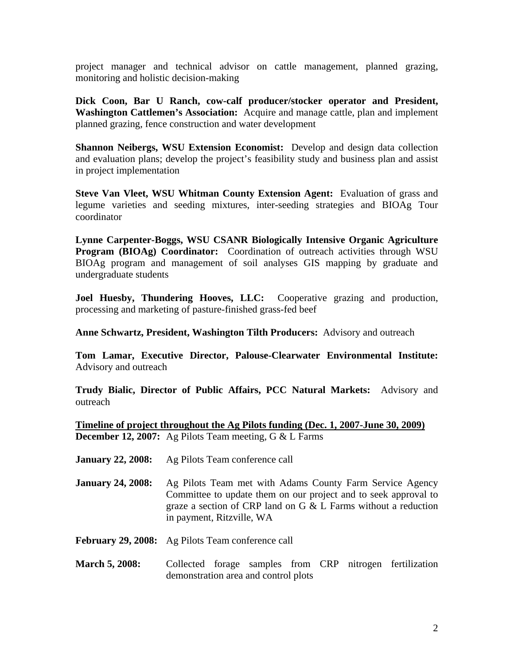project manager and technical advisor on cattle management, planned grazing, monitoring and holistic decision-making

**Dick Coon, Bar U Ranch, cow-calf producer/stocker operator and President, Washington Cattlemen's Association:** Acquire and manage cattle, plan and implement planned grazing, fence construction and water development

**Shannon Neibergs, WSU Extension Economist:** Develop and design data collection and evaluation plans; develop the project's feasibility study and business plan and assist in project implementation

**Steve Van Vleet, WSU Whitman County Extension Agent:** Evaluation of grass and legume varieties and seeding mixtures, inter-seeding strategies and BIOAg Tour coordinator

**Lynne Carpenter-Boggs, WSU CSANR Biologically Intensive Organic Agriculture Program (BIOAg) Coordinator:** Coordination of outreach activities through WSU BIOAg program and management of soil analyses GIS mapping by graduate and undergraduate students

**Joel Huesby, Thundering Hooves, LLC:** Cooperative grazing and production, processing and marketing of pasture-finished grass-fed beef

**Anne Schwartz, President, Washington Tilth Producers:** Advisory and outreach

**Tom Lamar, Executive Director, Palouse-Clearwater Environmental Institute:**  Advisory and outreach

**Trudy Bialic, Director of Public Affairs, PCC Natural Markets:** Advisory and outreach

**Timeline of project throughout the Ag Pilots funding (Dec. 1, 2007-June 30, 2009) December 12, 2007:** Ag Pilots Team meeting, G & L Farms

- **January 22, 2008:** Ag Pilots Team conference call
- **January 24, 2008:** Ag Pilots Team met with Adams County Farm Service Agency Committee to update them on our project and to seek approval to graze a section of CRP land on G & L Farms without a reduction in payment, Ritzville, WA

**February 29, 2008:** Ag Pilots Team conference call

March 5, 2008: Collected forage samples from CRP nitrogen fertilization demonstration area and control plots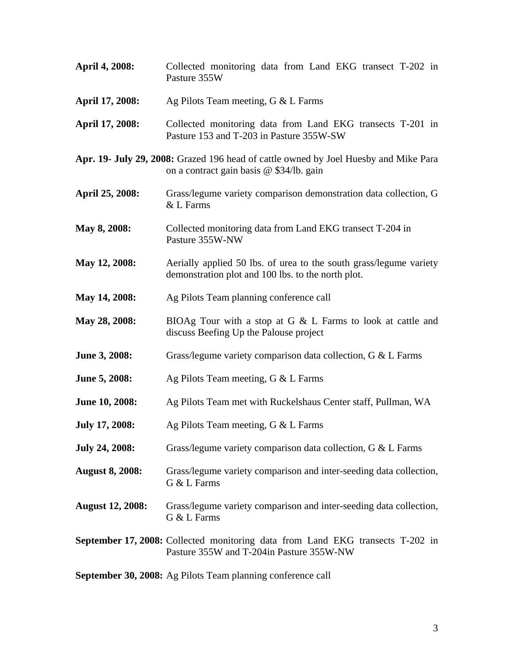| April 4, 2008:          | Collected monitoring data from Land EKG transect T-202 in<br>Pasture 355W                                                        |  |  |  |  |
|-------------------------|----------------------------------------------------------------------------------------------------------------------------------|--|--|--|--|
| April 17, 2008:         | Ag Pilots Team meeting, $G < L$ Farms                                                                                            |  |  |  |  |
| April 17, 2008:         | Collected monitoring data from Land EKG transects T-201 in<br>Pasture 153 and T-203 in Pasture 355W-SW                           |  |  |  |  |
|                         | Apr. 19- July 29, 2008: Grazed 196 head of cattle owned by Joel Huesby and Mike Para<br>on a contract gain basis @ \$34/lb. gain |  |  |  |  |
| April 25, 2008:         | Grass/legume variety comparison demonstration data collection, G<br>& L Farms                                                    |  |  |  |  |
| May 8, 2008:            | Collected monitoring data from Land EKG transect T-204 in<br>Pasture 355W-NW                                                     |  |  |  |  |
| May 12, 2008:           | Aerially applied 50 lbs. of urea to the south grass/legume variety<br>demonstration plot and 100 lbs. to the north plot.         |  |  |  |  |
| May 14, 2008:           | Ag Pilots Team planning conference call                                                                                          |  |  |  |  |
| May 28, 2008:           | BIOAg Tour with a stop at G $&$ L Farms to look at cattle and<br>discuss Beefing Up the Palouse project                          |  |  |  |  |
| June 3, 2008:           | Grass/legume variety comparison data collection, G & L Farms                                                                     |  |  |  |  |
| June 5, 2008:           | Ag Pilots Team meeting, $G < L$ Farms                                                                                            |  |  |  |  |
| June 10, 2008:          | Ag Pilots Team met with Ruckelshaus Center staff, Pullman, WA                                                                    |  |  |  |  |
| <b>July 17, 2008:</b>   | Ag Pilots Team meeting, $G < L$ Farms                                                                                            |  |  |  |  |
| <b>July 24, 2008:</b>   | Grass/legume variety comparison data collection, G & L Farms                                                                     |  |  |  |  |
| <b>August 8, 2008:</b>  | Grass/legume variety comparison and inter-seeding data collection,<br>G & L Farms                                                |  |  |  |  |
| <b>August 12, 2008:</b> | Grass/legume variety comparison and inter-seeding data collection,<br>G & L Farms                                                |  |  |  |  |
|                         | September 17, 2008: Collected monitoring data from Land EKG transects T-202 in<br>Pasture 355W and T-204in Pasture 355W-NW       |  |  |  |  |

**September 30, 2008:** Ag Pilots Team planning conference call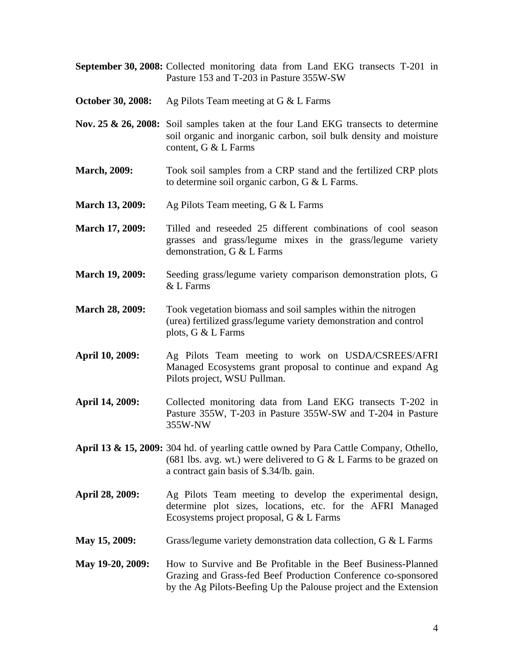**September 30, 2008:** Collected monitoring data from Land EKG transects T-201 in Pasture 153 and T-203 in Pasture 355W-SW

**October 30, 2008:** Ag Pilots Team meeting at G & L Farms

- **Nov. 25 & 26, 2008:** Soil samples taken at the four Land EKG transects to determine soil organic and inorganic carbon, soil bulk density and moisture content, G & L Farms
- **March, 2009:** Took soil samples from a CRP stand and the fertilized CRP plots to determine soil organic carbon, G & L Farms.
- **March 13, 2009:** Ag Pilots Team meeting, G & L Farms
- **March 17, 2009:** Tilled and reseeded 25 different combinations of cool season grasses and grass/legume mixes in the grass/legume variety demonstration, G & L Farms
- **March 19, 2009:**Seeding grass/legume variety comparison demonstration plots, G & L Farms
- **March 28, 2009:** Took vegetation biomass and soil samples within the nitrogen (urea) fertilized grass/legume variety demonstration and control plots, G & L Farms
- **April 10, 2009:** Ag Pilots Team meeting to work on USDA/CSREES/AFRI Managed Ecosystems grant proposal to continue and expand Ag Pilots project, WSU Pullman.
- **April 14, 2009:** Collected monitoring data from Land EKG transects T-202 in Pasture 355W, T-203 in Pasture 355W-SW and T-204 in Pasture 355W-NW
- **April 13 & 15, 2009:** 304 hd. of yearling cattle owned by Para Cattle Company, Othello, (681 lbs. avg. wt.) were delivered to G  $&$  L Farms to be grazed on a contract gain basis of \$.34/lb. gain.
- **April 28, 2009:** Ag Pilots Team meeting to develop the experimental design, determine plot sizes, locations, etc. for the AFRI Managed Ecosystems project proposal, G & L Farms
- **May 15, 2009:** Grass/legume variety demonstration data collection, G & L Farms
- **May 19-20, 2009:** How to Survive and Be Profitable in the Beef Business-Planned Grazing and Grass-fed Beef Production Conference co-sponsored by the Ag Pilots-Beefing Up the Palouse project and the Extension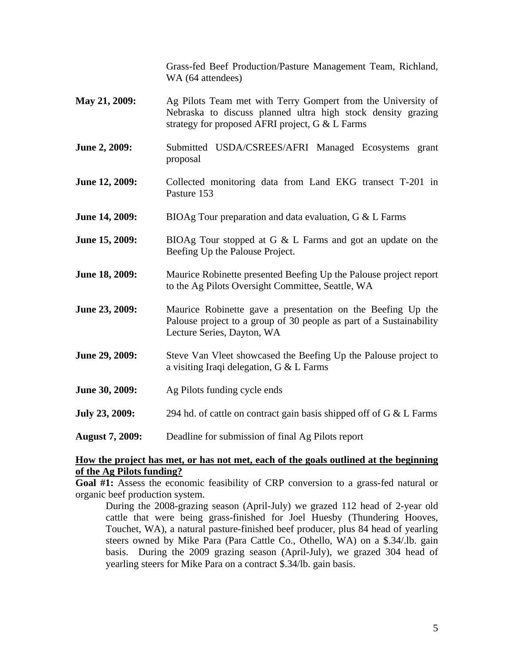Grass-fed Beef Production/Pasture Management Team, Richland, WA (64 attendees)

- **May 21, 2009:** Ag Pilots Team met with Terry Gompert from the University of Nebraska to discuss planned ultra high stock density grazing strategy for proposed AFRI project, G & L Farms
- **June 2, 2009:** Submitted USDA/CSREES/AFRI Managed Ecosystems grant proposal
- **June 12, 2009:** Collected monitoring data from Land EKG transect T-201 in Pasture 153
- **June 14, 2009:** BIOAg Tour preparation and data evaluation, G & L Farms
- **June 15, 2009:** BIOAg Tour stopped at G & L Farms and got an update on the Beefing Up the Palouse Project.
- **June 18, 2009:** Maurice Robinette presented Beefing Up the Palouse project report to the Ag Pilots Oversight Committee, Seattle, WA
- **June 23, 2009:** Maurice Robinette gave a presentation on the Beefing Up the Palouse project to a group of 30 people as part of a Sustainability Lecture Series, Dayton, WA
- **June 29, 2009:** Steve Van Vleet showcased the Beefing Up the Palouse project to a visiting Iraqi delegation, G & L Farms
- **June 30, 2009:** Ag Pilots funding cycle ends
- **July 23, 2009:** 294 hd. of cattle on contract gain basis shipped off of G & L Farms
- **August 7, 2009:** Deadline for submission of final Ag Pilots report

## **How the project has met, or has not met, each of the goals outlined at the beginning of the Ag Pilots funding?**

**Goal #1:** Assess the economic feasibility of CRP conversion to a grass-fed natural or organic beef production system.

During the 2008-grazing season (April-July) we grazed 112 head of 2-year old cattle that were being grass-finished for Joel Huesby (Thundering Hooves, Touchet, WA), a natural pasture-finished beef producer, plus 84 head of yearling steers owned by Mike Para (Para Cattle Co., Othello, WA) on a \$.34/.lb. gain basis. During the 2009 grazing season (April-July), we grazed 304 head of yearling steers for Mike Para on a contract \$.34/lb. gain basis.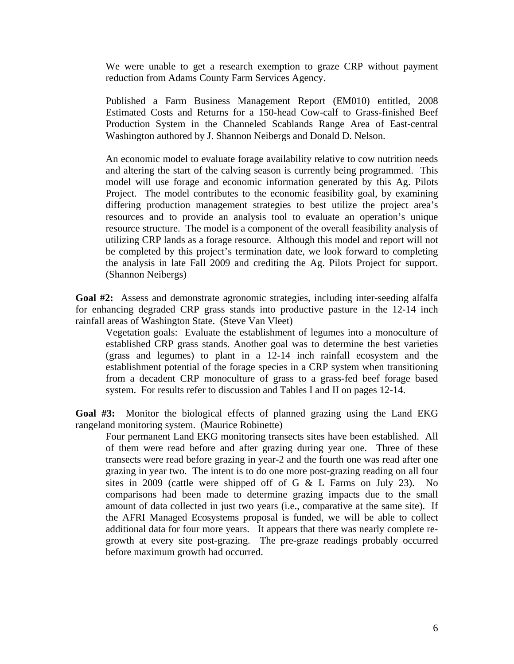We were unable to get a research exemption to graze CRP without payment reduction from Adams County Farm Services Agency.

Published a Farm Business Management Report (EM010) entitled, 2008 Estimated Costs and Returns for a 150-head Cow-calf to Grass-finished Beef Production System in the Channeled Scablands Range Area of East-central Washington authored by J. Shannon Neibergs and Donald D. Nelson.

An economic model to evaluate forage availability relative to cow nutrition needs and altering the start of the calving season is currently being programmed. This model will use forage and economic information generated by this Ag. Pilots Project. The model contributes to the economic feasibility goal, by examining differing production management strategies to best utilize the project area's resources and to provide an analysis tool to evaluate an operation's unique resource structure. The model is a component of the overall feasibility analysis of utilizing CRP lands as a forage resource. Although this model and report will not be completed by this project's termination date, we look forward to completing the analysis in late Fall 2009 and crediting the Ag. Pilots Project for support. (Shannon Neibergs)

Goal #2: Assess and demonstrate agronomic strategies, including inter-seeding alfalfa for enhancing degraded CRP grass stands into productive pasture in the 12-14 inch rainfall areas of Washington State. (Steve Van Vleet)

 Vegetation goals: Evaluate the establishment of legumes into a monoculture of established CRP grass stands. Another goal was to determine the best varieties (grass and legumes) to plant in a 12-14 inch rainfall ecosystem and the establishment potential of the forage species in a CRP system when transitioning from a decadent CRP monoculture of grass to a grass-fed beef forage based system. For results refer to discussion and Tables I and II on pages 12-14.

**Goal #3:** Monitor the biological effects of planned grazing using the Land EKG rangeland monitoring system. (Maurice Robinette)

Four permanent Land EKG monitoring transects sites have been established. All of them were read before and after grazing during year one. Three of these transects were read before grazing in year-2 and the fourth one was read after one grazing in year two. The intent is to do one more post-grazing reading on all four sites in 2009 (cattle were shipped off of G & L Farms on July 23). No comparisons had been made to determine grazing impacts due to the small amount of data collected in just two years (i.e., comparative at the same site). If the AFRI Managed Ecosystems proposal is funded, we will be able to collect additional data for four more years. It appears that there was nearly complete regrowth at every site post-grazing. The pre-graze readings probably occurred before maximum growth had occurred.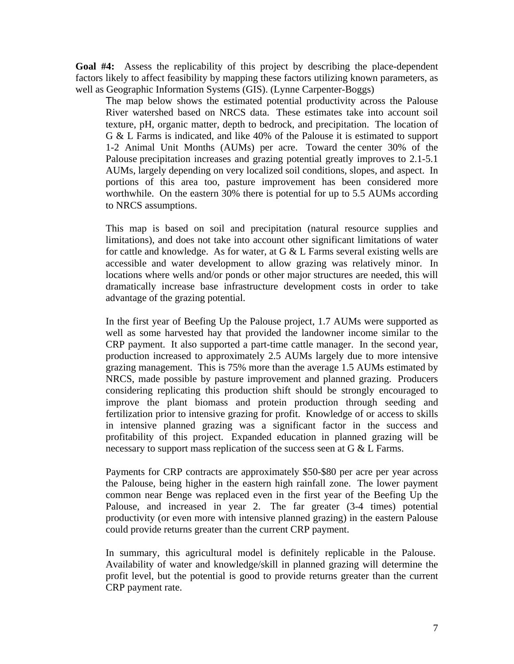**Goal #4:** Assess the replicability of this project by describing the place-dependent factors likely to affect feasibility by mapping these factors utilizing known parameters, as well as Geographic Information Systems (GIS). (Lynne Carpenter-Boggs)

The map below shows the estimated potential productivity across the Palouse River watershed based on NRCS data. These estimates take into account soil texture, pH, organic matter, depth to bedrock, and precipitation. The location of G & L Farms is indicated, and like 40% of the Palouse it is estimated to support 1-2 Animal Unit Months (AUMs) per acre. Toward the center 30% of the Palouse precipitation increases and grazing potential greatly improves to 2.1-5.1 AUMs, largely depending on very localized soil conditions, slopes, and aspect. In portions of this area too, pasture improvement has been considered more worthwhile. On the eastern 30% there is potential for up to 5.5 AUMs according to NRCS assumptions.

This map is based on soil and precipitation (natural resource supplies and limitations), and does not take into account other significant limitations of water for cattle and knowledge. As for water, at  $G < L$  Farms several existing wells are accessible and water development to allow grazing was relatively minor. In locations where wells and/or ponds or other major structures are needed, this will dramatically increase base infrastructure development costs in order to take advantage of the grazing potential.

In the first year of Beefing Up the Palouse project, 1.7 AUMs were supported as well as some harvested hay that provided the landowner income similar to the CRP payment. It also supported a part-time cattle manager. In the second year, production increased to approximately 2.5 AUMs largely due to more intensive grazing management. This is 75% more than the average 1.5 AUMs estimated by NRCS, made possible by pasture improvement and planned grazing. Producers considering replicating this production shift should be strongly encouraged to improve the plant biomass and protein production through seeding and fertilization prior to intensive grazing for profit. Knowledge of or access to skills in intensive planned grazing was a significant factor in the success and profitability of this project. Expanded education in planned grazing will be necessary to support mass replication of the success seen at G & L Farms.

Payments for CRP contracts are approximately \$50-\$80 per acre per year across the Palouse, being higher in the eastern high rainfall zone. The lower payment common near Benge was replaced even in the first year of the Beefing Up the Palouse, and increased in year 2. The far greater (3-4 times) potential productivity (or even more with intensive planned grazing) in the eastern Palouse could provide returns greater than the current CRP payment.

In summary, this agricultural model is definitely replicable in the Palouse. Availability of water and knowledge/skill in planned grazing will determine the profit level, but the potential is good to provide returns greater than the current CRP payment rate.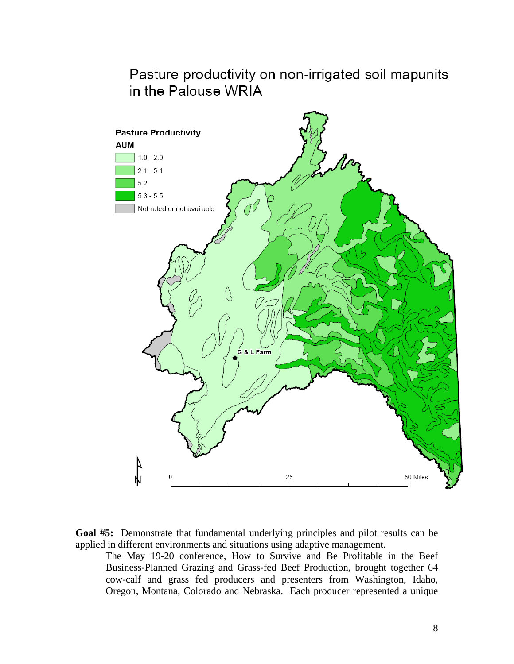# Pasture productivity on non-irrigated soil mapunits in the Palouse WRIA





The May 19-20 conference, How to Survive and Be Profitable in the Beef Business-Planned Grazing and Grass-fed Beef Production, brought together 64 cow-calf and grass fed producers and presenters from Washington, Idaho, Oregon, Montana, Colorado and Nebraska. Each producer represented a unique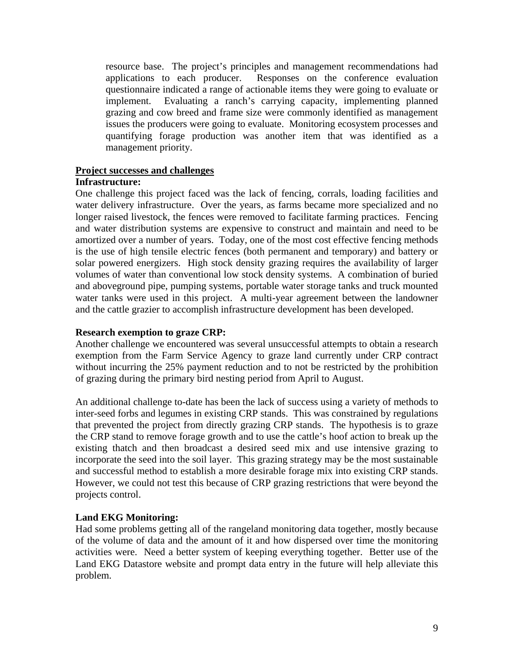resource base. The project's principles and management recommendations had applications to each producer. Responses on the conference evaluation questionnaire indicated a range of actionable items they were going to evaluate or implement. Evaluating a ranch's carrying capacity, implementing planned grazing and cow breed and frame size were commonly identified as management issues the producers were going to evaluate. Monitoring ecosystem processes and quantifying forage production was another item that was identified as a management priority.

#### **Project successes and challenges**

#### **Infrastructure:**

One challenge this project faced was the lack of fencing, corrals, loading facilities and water delivery infrastructure. Over the years, as farms became more specialized and no longer raised livestock, the fences were removed to facilitate farming practices. Fencing and water distribution systems are expensive to construct and maintain and need to be amortized over a number of years. Today, one of the most cost effective fencing methods is the use of high tensile electric fences (both permanent and temporary) and battery or solar powered energizers. High stock density grazing requires the availability of larger volumes of water than conventional low stock density systems. A combination of buried and aboveground pipe, pumping systems, portable water storage tanks and truck mounted water tanks were used in this project. A multi-year agreement between the landowner and the cattle grazier to accomplish infrastructure development has been developed.

## **Research exemption to graze CRP:**

Another challenge we encountered was several unsuccessful attempts to obtain a research exemption from the Farm Service Agency to graze land currently under CRP contract without incurring the 25% payment reduction and to not be restricted by the prohibition of grazing during the primary bird nesting period from April to August.

An additional challenge to-date has been the lack of success using a variety of methods to inter-seed forbs and legumes in existing CRP stands. This was constrained by regulations that prevented the project from directly grazing CRP stands. The hypothesis is to graze the CRP stand to remove forage growth and to use the cattle's hoof action to break up the existing thatch and then broadcast a desired seed mix and use intensive grazing to incorporate the seed into the soil layer. This grazing strategy may be the most sustainable and successful method to establish a more desirable forage mix into existing CRP stands. However, we could not test this because of CRP grazing restrictions that were beyond the projects control.

## **Land EKG Monitoring:**

Had some problems getting all of the rangeland monitoring data together, mostly because of the volume of data and the amount of it and how dispersed over time the monitoring activities were. Need a better system of keeping everything together. Better use of the Land EKG Datastore website and prompt data entry in the future will help alleviate this problem.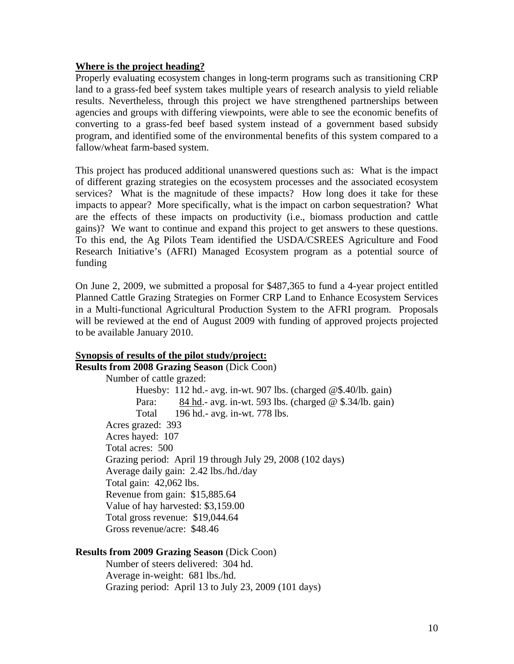## **Where is the project heading?**

Properly evaluating ecosystem changes in long-term programs such as transitioning CRP land to a grass-fed beef system takes multiple years of research analysis to yield reliable results. Nevertheless, through this project we have strengthened partnerships between agencies and groups with differing viewpoints, were able to see the economic benefits of converting to a grass-fed beef based system instead of a government based subsidy program, and identified some of the environmental benefits of this system compared to a fallow/wheat farm-based system.

This project has produced additional unanswered questions such as: What is the impact of different grazing strategies on the ecosystem processes and the associated ecosystem services? What is the magnitude of these impacts? How long does it take for these impacts to appear? More specifically, what is the impact on carbon sequestration? What are the effects of these impacts on productivity (i.e., biomass production and cattle gains)? We want to continue and expand this project to get answers to these questions. To this end, the Ag Pilots Team identified the USDA/CSREES Agriculture and Food Research Initiative's (AFRI) Managed Ecosystem program as a potential source of funding

On June 2, 2009, we *s*ubmitted a proposal for \$487,365 to fund a 4-year project entitled Planned Cattle Grazing Strategies on Former CRP Land to Enhance Ecosystem Services in a Multi-functional Agricultural Production System to the AFRI program. Proposals will be reviewed at the end of August 2009 with funding of approved projects projected to be available January 2010.

# **Synopsis of results of the pilot study/project:**

**Results from 2008 Grazing Season** (Dick Coon) Number of cattle grazed: Huesby: 112 hd.- avg. in-wt. 907 lbs. (charged @\$.40/lb. gain) Para: 84 hd.- avg. in-wt. 593 lbs. (charged @ \$.34/lb. gain) Total 196 hd.- avg. in-wt. 778 lbs. Acres grazed: 393 Acres hayed: 107 Total acres: 500 Grazing period: April 19 through July 29, 2008 (102 days) Average daily gain: 2.42 lbs./hd./day Total gain: 42,062 lbs. Revenue from gain: \$15,885.64 Value of hay harvested: \$3,159.00 Total gross revenue: \$19,044.64 Gross revenue/acre: \$48.46

# **Results from 2009 Grazing Season** (Dick Coon)

Number of steers delivered: 304 hd. Average in-weight: 681 lbs./hd. Grazing period: April 13 to July 23, 2009 (101 days)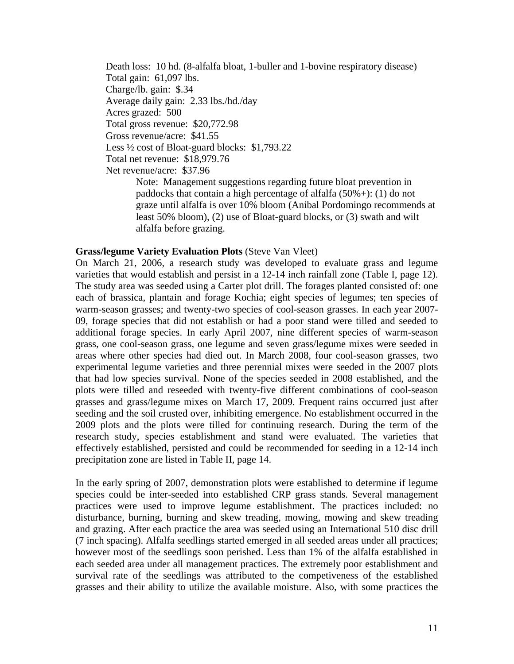Death loss: 10 hd. (8-alfalfa bloat, 1-buller and 1-bovine respiratory disease) Total gain: 61,097 lbs. Charge/lb. gain: \$.34 Average daily gain: 2.33 lbs./hd./day Acres grazed: 500 Total gross revenue: \$20,772.98 Gross revenue/acre: \$41.55 Less ½ cost of Bloat-guard blocks: \$1,793.22 Total net revenue: \$18,979.76 Net revenue/acre: \$37.96 Note: Management suggestions regarding future bloat prevention in

paddocks that contain a high percentage of alfalfa  $(50\% +)$ : (1) do not graze until alfalfa is over 10% bloom (Anibal Pordomingo recommends at least 50% bloom), (2) use of Bloat-guard blocks, or (3) swath and wilt alfalfa before grazing.

## **Grass/legume Variety Evaluation Plots** (Steve Van Vleet)

On March 21, 2006, a research study was developed to evaluate grass and legume varieties that would establish and persist in a 12-14 inch rainfall zone (Table I, page 12). The study area was seeded using a Carter plot drill. The forages planted consisted of: one each of brassica, plantain and forage Kochia; eight species of legumes; ten species of warm-season grasses; and twenty-two species of cool-season grasses. In each year 2007- 09, forage species that did not establish or had a poor stand were tilled and seeded to additional forage species. In early April 2007, nine different species of warm-season grass, one cool-season grass, one legume and seven grass/legume mixes were seeded in areas where other species had died out. In March 2008, four cool-season grasses, two experimental legume varieties and three perennial mixes were seeded in the 2007 plots that had low species survival. None of the species seeded in 2008 established, and the plots were tilled and reseeded with twenty-five different combinations of cool-season grasses and grass/legume mixes on March 17, 2009. Frequent rains occurred just after seeding and the soil crusted over, inhibiting emergence. No establishment occurred in the 2009 plots and the plots were tilled for continuing research. During the term of the research study, species establishment and stand were evaluated. The varieties that effectively established, persisted and could be recommended for seeding in a 12-14 inch precipitation zone are listed in Table II, page 14.

In the early spring of 2007, demonstration plots were established to determine if legume species could be inter-seeded into established CRP grass stands. Several management practices were used to improve legume establishment. The practices included: no disturbance, burning, burning and skew treading, mowing, mowing and skew treading and grazing. After each practice the area was seeded using an International 510 disc drill (7 inch spacing). Alfalfa seedlings started emerged in all seeded areas under all practices; however most of the seedlings soon perished. Less than 1% of the alfalfa established in each seeded area under all management practices. The extremely poor establishment and survival rate of the seedlings was attributed to the competiveness of the established grasses and their ability to utilize the available moisture. Also, with some practices the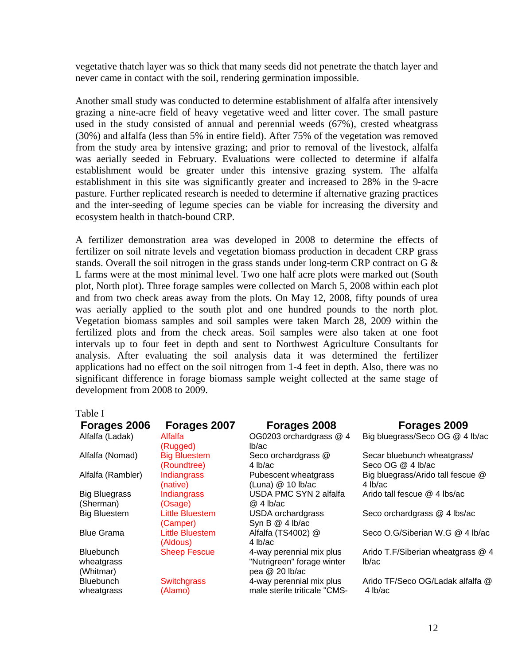vegetative thatch layer was so thick that many seeds did not penetrate the thatch layer and never came in contact with the soil, rendering germination impossible*.* 

Another small study was conducted to determine establishment of alfalfa after intensively grazing a nine-acre field of heavy vegetative weed and litter cover. The small pasture used in the study consisted of annual and perennial weeds (67%), crested wheatgrass (30%) and alfalfa (less than 5% in entire field). After 75% of the vegetation was removed from the study area by intensive grazing; and prior to removal of the livestock, alfalfa was aerially seeded in February. Evaluations were collected to determine if alfalfa establishment would be greater under this intensive grazing system. The alfalfa establishment in this site was significantly greater and increased to 28% in the 9-acre pasture. Further replicated research is needed to determine if alternative grazing practices and the inter-seeding of legume species can be viable for increasing the diversity and ecosystem health in thatch-bound CRP.

A fertilizer demonstration area was developed in 2008 to determine the effects of fertilizer on soil nitrate levels and vegetation biomass production in decadent CRP grass stands. Overall the soil nitrogen in the grass stands under long-term CRP contract on G & L farms were at the most minimal level. Two one half acre plots were marked out (South plot, North plot). Three forage samples were collected on March 5, 2008 within each plot and from two check areas away from the plots. On May 12, 2008, fifty pounds of urea was aerially applied to the south plot and one hundred pounds to the north plot. Vegetation biomass samples and soil samples were taken March 28, 2009 within the fertilized plots and from the check areas. Soil samples were also taken at one foot intervals up to four feet in depth and sent to Northwest Agriculture Consultants for analysis. After evaluating the soil analysis data it was determined the fertilizer applications had no effect on the soil nitrogen from 1-4 feet in depth. Also, there was no significant difference in forage biomass sample weight collected at the same stage of development from 2008 to 2009.

Table I

| Forages 2006<br>Alfalfa (Ladak)             | Forages 2007<br>Alfalfa<br>(Rugged) | Forages 2008<br>OG0203 orchardgrass @ 4<br>lb/ac                         | Forages 2009<br>Big bluegrass/Seco OG @ 4 lb/ac |
|---------------------------------------------|-------------------------------------|--------------------------------------------------------------------------|-------------------------------------------------|
| Alfalfa (Nomad)                             | <b>Big Bluestem</b>                 | Seco orchardgrass @                                                      | Secar bluebunch wheatgrass/                     |
|                                             | (Roundtree)                         | 4 lb/ac                                                                  | Seco OG @ 4 lb/ac                               |
| Alfalfa (Rambler)                           | Indiangrass                         | Pubescent wheatgrass                                                     | Big bluegrass/Arido tall fescue @               |
|                                             | (native)                            | (Luna) $@$ 10 lb/ac                                                      | 4 lb/ac                                         |
| <b>Big Bluegrass</b>                        | <b>Indiangrass</b>                  | USDA PMC SYN 2 alfalfa                                                   | Arido tall fescue $@$ 4 lbs/ac                  |
| (Sherman)                                   | (Osage)                             | $@4$ lb/ac                                                               |                                                 |
| <b>Big Bluestem</b>                         | Little Bluestem<br>(Camper)         | <b>USDA</b> orchardgrass<br>Syn B @ 4 lb/ac                              | Seco orchardgrass @ 4 lbs/ac                    |
| <b>Blue Grama</b>                           | <b>Little Bluestem</b><br>(Aldous)  | Alfalfa (TS4002) @<br>4 lb/ac                                            | Seco O.G/Siberian W.G @ 4 lb/ac                 |
| <b>Bluebunch</b><br>wheatgrass<br>(Whitmar) | <b>Sheep Fescue</b>                 | 4-way perennial mix plus<br>"Nutrigreen" forage winter<br>pea @ 20 lb/ac | Arido T.F/Siberian wheatgrass @ 4<br>lb/ac      |
| Bluebunch                                   | <b>Switchgrass</b>                  | 4-way perennial mix plus                                                 | Arido TF/Seco OG/Ladak alfalfa @                |
| wheatgrass                                  | (Alamo)                             | male sterile triticale "CMS-                                             | 4 lb/ac                                         |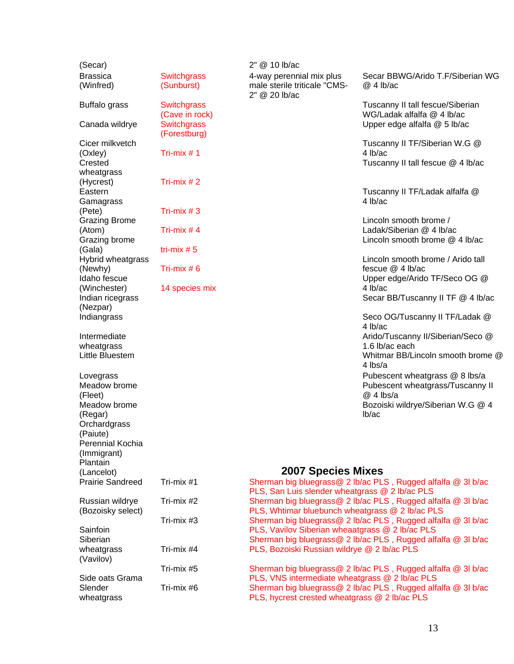| (Secar)                 |                                      | 2" @ 10 lb/ac                                   |                                                                |
|-------------------------|--------------------------------------|-------------------------------------------------|----------------------------------------------------------------|
| <b>Brassica</b>         | <b>Switchgrass</b>                   | 4-way perennial mix plus                        | Secar BBWG/Arido T.F/Siberian WG                               |
| (Winfred)               | (Sunburst)                           | male sterile triticale "CMS-<br>2" @ 20 lb/ac   | $@4$ lb/ac                                                     |
| Buffalo grass           | <b>Switchgrass</b><br>(Cave in rock) |                                                 | Tuscanny II tall fescue/Siberian<br>WG/Ladak alfalfa @ 4 lb/ac |
| Canada wildrye          | <b>Switchgrass</b><br>(Forestburg)   |                                                 | Upper edge alfalfa @ 5 lb/ac                                   |
| Cicer milkvetch         |                                      |                                                 | Tuscanny II TF/Siberian W.G @                                  |
| (Oxley)                 | Tri-mix $# 1$                        |                                                 | 4 lb/ac                                                        |
| Crested                 |                                      |                                                 | Tuscanny II tall fescue @ 4 lb/ac                              |
| wheatgrass              |                                      |                                                 |                                                                |
| (Hycrest)               | Tri-mix $# 2$                        |                                                 |                                                                |
| Eastern                 |                                      |                                                 | Tuscanny II TF/Ladak alfalfa @<br>4 lb/ac                      |
| Gamagrass<br>(Pete)     | Tri-mix $#3$                         |                                                 |                                                                |
| <b>Grazing Brome</b>    |                                      |                                                 | Lincoln smooth brome /                                         |
| (Atom)                  | Tri-mix $# 4$                        |                                                 | Ladak/Siberian @ 4 lb/ac                                       |
| Grazing brome           |                                      |                                                 | Lincoln smooth brome @ 4 lb/ac                                 |
| (Gala)                  | tri-mix $# 5$                        |                                                 |                                                                |
| Hybrid wheatgrass       |                                      |                                                 | Lincoln smooth brome / Arido tall                              |
| (Newhy)                 | Tri-mix $# 6$                        |                                                 | fescue @ 4 lb/ac                                               |
| Idaho fescue            |                                      |                                                 | Upper edge/Arido TF/Seco OG @                                  |
| (Winchester)            | 14 species mix                       |                                                 | 4 lb/ac                                                        |
| Indian ricegrass        |                                      |                                                 | Secar BB/Tuscanny II TF @ 4 lb/ac                              |
| (Nezpar)                |                                      |                                                 |                                                                |
| Indiangrass             |                                      |                                                 | Seco OG/Tuscanny II TF/Ladak @<br>4 lb/ac                      |
| Intermediate            |                                      |                                                 | Arido/Tuscanny II/Siberian/Seco @                              |
| wheatgrass              |                                      |                                                 | 1.6 lb/ac each                                                 |
| Little Bluestem         |                                      |                                                 | Whitmar BB/Lincoln smooth brome @<br>4 lbs/a                   |
| Lovegrass               |                                      |                                                 | Pubescent wheatgrass @ 8 lbs/a                                 |
| Meadow brome            |                                      |                                                 | Pubescent wheatgrass/Tuscanny II                               |
| (Fleet)                 |                                      |                                                 | $@4$ lbs/a                                                     |
| Meadow brome            |                                      |                                                 | Bozoiski wildrye/Siberian W.G @ 4                              |
| (Regar)                 |                                      |                                                 | lb/ac                                                          |
| Orchardgrass            |                                      |                                                 |                                                                |
| (Paiute)                |                                      |                                                 |                                                                |
| Perennial Kochia        |                                      |                                                 |                                                                |
| (Immigrant)<br>Plantain |                                      |                                                 |                                                                |
| (Lancelot)              |                                      | <b>2007 Species Mixes</b>                       |                                                                |
| <b>Prairie Sandreed</b> | Tri-mix #1                           |                                                 | Sherman big bluegrass@ 2 lb/ac PLS, Rugged alfalfa @ 3l b/ac   |
|                         |                                      | PLS, San Luis slender wheatgrass @ 2 lb/ac PLS  |                                                                |
| Russian wildrye         | Tri-mix #2                           |                                                 | Sherman big bluegrass@ 2 lb/ac PLS, Rugged alfalfa @ 3l b/ac   |
| (Bozoisky select)       |                                      | PLS, Whtimar bluebunch wheatgrass @ 2 lb/ac PLS |                                                                |
|                         | Tri-mix #3                           |                                                 | Sherman big bluegrass@ 2 lb/ac PLS, Rugged alfalfa @ 3l b/ac   |
| Sainfoin                |                                      | PLS, Vavilov Siberian wheaatgrass @ 2 lb/ac PLS |                                                                |
| Siberian                |                                      |                                                 | Sherman big bluegrass@ 2 lb/ac PLS, Rugged alfalfa @ 3l b/ac   |
| wheatgrass<br>(Vavilov) | Tri-mix #4                           | PLS, Bozoiski Russian wildrye @ 2 lb/ac PLS     |                                                                |
|                         | Tri-mix #5                           |                                                 | Sherman big bluegrass@ 2 lb/ac PLS, Rugged alfalfa @ 3l b/ac   |
| Side oats Grama         |                                      | PLS, VNS intermediate wheatgrass @ 2 lb/ac PLS  |                                                                |
| Slender                 | Tri-mix #6                           |                                                 | Sherman big bluegrass@ 2 lb/ac PLS, Rugged alfalfa @ 3l b/ac   |
| wheatgrass              |                                      | PLS, hycrest crested wheatgrass @ 2 lb/ac PLS   |                                                                |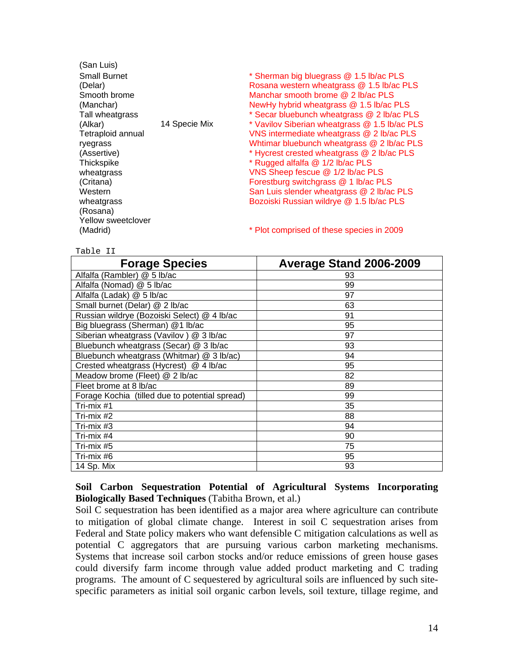| (San Luis)          |               |                                               |
|---------------------|---------------|-----------------------------------------------|
| <b>Small Burnet</b> |               | * Sherman big bluegrass @ 1.5 lb/ac PLS       |
| (Delar)             |               | Rosana western wheatgrass @ 1.5 lb/ac PLS     |
| Smooth brome        |               | Manchar smooth brome @ 2 lb/ac PLS            |
| (Manchar)           |               | NewHy hybrid wheatgrass @ 1.5 lb/ac PLS       |
| Tall wheatgrass     |               | * Secar bluebunch wheatgrass @ 2 lb/ac PLS    |
| (Alkar)             | 14 Specie Mix | * Vavilov Siberian wheatgrass @ 1.5 lb/ac PLS |
| Tetraploid annual   |               | VNS intermediate wheatgrass @ 2 lb/ac PLS     |
| ryegrass            |               | Whtimar bluebunch wheatgrass @ 2 lb/ac PLS    |
| (Assertive)         |               | * Hycrest crested wheatgrass @ 2 lb/ac PLS    |
| Thickspike          |               | * Rugged alfalfa @ 1/2 lb/ac PLS              |
| wheatgrass          |               | VNS Sheep fescue @ 1/2 lb/ac PLS              |
| (Critana)           |               | Forestburg switchgrass @ 1 lb/ac PLS          |
| Western             |               | San Luis slender wheatgrass @ 2 lb/ac PLS     |
| wheatgrass          |               | Bozoiski Russian wildrye @ 1.5 lb/ac PLS      |
| (Rosana)            |               |                                               |
| Yellow sweetclover  |               |                                               |
| (Madrid)            |               | * Plot comprised of these species in 2009     |

Table II

| <b>Forage Species</b>                          | Average Stand 2006-2009 |
|------------------------------------------------|-------------------------|
| Alfalfa (Rambler) @ 5 lb/ac                    | 93                      |
| Alfalfa (Nomad) @ 5 lb/ac                      | 99                      |
| Alfalfa (Ladak) @ 5 lb/ac                      | 97                      |
| Small burnet (Delar) @ 2 lb/ac                 | 63                      |
| Russian wildrye (Bozoiski Select) @ 4 lb/ac    | 91                      |
| Big bluegrass (Sherman) @1 lb/ac               | 95                      |
| Siberian wheatgrass (Vavilov) $@3$ lb/ac       | 97                      |
| Bluebunch wheatgrass (Secar) @ 3 lb/ac         | 93                      |
| Bluebunch wheatgrass (Whitmar) @ 3 lb/ac)      | 94                      |
| Crested wheatgrass (Hycrest) @ 4 lb/ac         | 95                      |
| Meadow brome (Fleet) @ 2 lb/ac                 | 82                      |
| Fleet brome at 8 lb/ac                         | 89                      |
| Forage Kochia (tilled due to potential spread) | 99                      |
| Tri-mix #1                                     | 35                      |
| Tri-mix #2                                     | 88                      |
| Tri-mix $#3$                                   | 94                      |
| Tri-mix #4                                     | 90                      |
| Tri-mix #5                                     | 75                      |
| Tri-mix #6                                     | 95                      |
| 14 Sp. Mix                                     | 93                      |

## **Soil Carbon Sequestration Potential of Agricultural Systems Incorporating Biologically Based Techniques** (Tabitha Brown, et al.)

Soil C sequestration has been identified as a major area where agriculture can contribute to mitigation of global climate change. Interest in soil C sequestration arises from Federal and State policy makers who want defensible C mitigation calculations as well as potential C aggregators that are pursuing various carbon marketing mechanisms. Systems that increase soil carbon stocks and/or reduce emissions of green house gases could diversify farm income through value added product marketing and C trading programs. The amount of C sequestered by agricultural soils are influenced by such sitespecific parameters as initial soil organic carbon levels, soil texture, tillage regime, and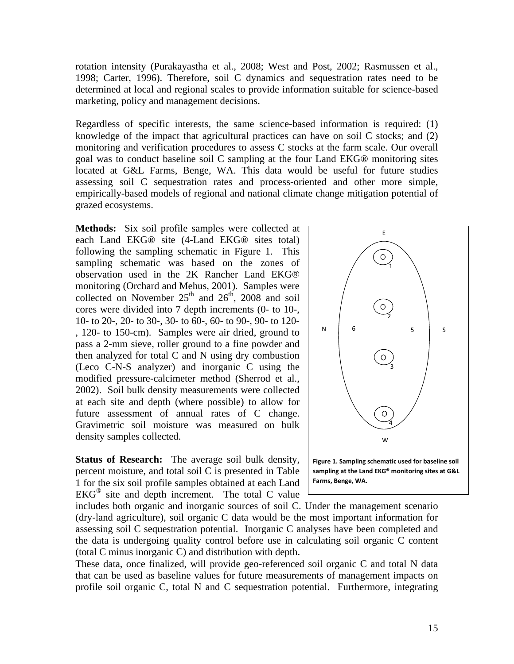rotation intensity (Purakayastha et al., 2008; West and Post, 2002; Rasmussen et al., 1998; Carter, 1996). Therefore, soil C dynamics and sequestration rates need to be determined at local and regional scales to provide information suitable for science-based marketing, policy and management decisions.

Regardless of specific interests, the same science-based information is required: (1) knowledge of the impact that agricultural practices can have on soil C stocks; and (2) monitoring and verification procedures to assess C stocks at the farm scale. Our overall goal was to conduct baseline soil C sampling at the four Land EKG® monitoring sites located at G&L Farms, Benge, WA. This data would be useful for future studies assessing soil C sequestration rates and process-oriented and other more simple, empirically-based models of regional and national climate change mitigation potential of grazed ecosystems.

**Methods:** Six soil profile samples were collected at each Land EKG® site (4-Land EKG® sites total) following the sampling schematic in Figure 1. This sampling schematic was based on the zones of observation used in the 2K Rancher Land EKG® monitoring (Orchard and Mehus, 2001). Samples were collected on November  $25<sup>th</sup>$  and  $26<sup>th</sup>$ ,  $2008$  and soil cores were divided into 7 depth increments (0- to 10-, 10- to 20-, 20- to 30-, 30- to 60-, 60- to 90-, 90- to 120- , 120- to 150-cm). Samples were air dried, ground to pass a 2-mm sieve, roller ground to a fine powder and then analyzed for total C and N using dry combustion (Leco C-N-S analyzer) and inorganic C using the modified pressure-calcimeter method (Sherrod et al., 2002). Soil bulk density measurements were collected at each site and depth (where possible) to allow for future assessment of annual rates of C change. Gravimetric soil moisture was measured on bulk density samples collected.

**Status of Research:** The average soil bulk density, percent moisture, and total soil C is presented in Table 1 for the six soil profile samples obtained at each Land  $EKG^{\circledR}$  site and depth increment. The total C value

includes both organic and inorganic sources of soil C. Under the management scenario (dry-land agriculture), soil organic C data would be the most important information for assessing soil C sequestration potential. Inorganic C analyses have been completed and the data is undergoing quality control before use in calculating soil organic C content (total C minus inorganic C) and distribution with depth.

These data, once finalized, will provide geo-referenced soil organic C and total N data that can be used as baseline values for future measurements of management impacts on profile soil organic C, total N and C sequestration potential. Furthermore, integrating

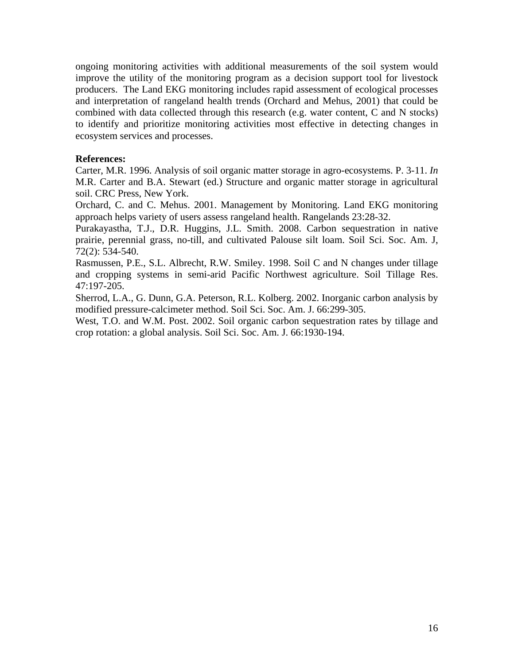ongoing monitoring activities with additional measurements of the soil system would improve the utility of the monitoring program as a decision support tool for livestock producers. The Land EKG monitoring includes rapid assessment of ecological processes and interpretation of rangeland health trends (Orchard and Mehus, 2001) that could be combined with data collected through this research (e.g. water content, C and N stocks) to identify and prioritize monitoring activities most effective in detecting changes in ecosystem services and processes.

#### **References:**

Carter, M.R. 1996. Analysis of soil organic matter storage in agro-ecosystems. P. 3-11. *In* M.R. Carter and B.A. Stewart (ed.) Structure and organic matter storage in agricultural soil. CRC Press, New York.

Orchard, C. and C. Mehus. 2001. Management by Monitoring. Land EKG monitoring approach helps variety of users assess rangeland health. Rangelands 23:28-32.

Purakayastha, T.J., D.R. Huggins, J.L. Smith. 2008. Carbon sequestration in native prairie, perennial grass, no-till, and cultivated Palouse silt loam. Soil Sci. Soc. Am. J, 72(2): 534-540.

Rasmussen, P.E., S.L. Albrecht, R.W. Smiley. 1998. Soil C and N changes under tillage and cropping systems in semi-arid Pacific Northwest agriculture. Soil Tillage Res. 47:197-205.

Sherrod, L.A., G. Dunn, G.A. Peterson, R.L. Kolberg. 2002. Inorganic carbon analysis by modified pressure-calcimeter method. Soil Sci. Soc. Am. J. 66:299-305.

West, T.O. and W.M. Post. 2002. Soil organic carbon sequestration rates by tillage and crop rotation: a global analysis. Soil Sci. Soc. Am. J. 66:1930-194.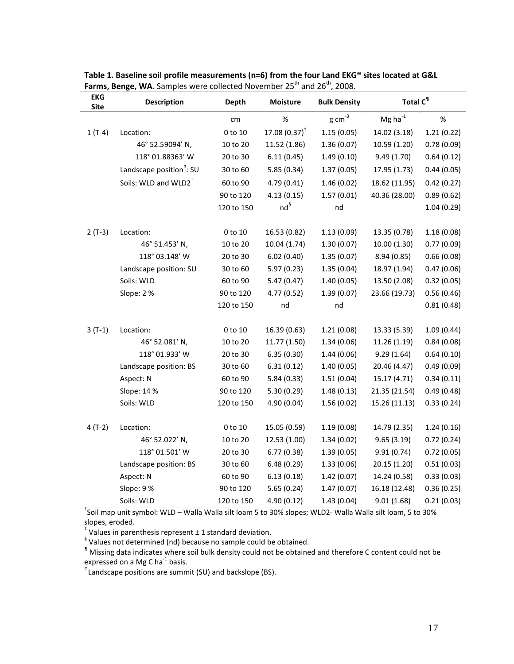| <b>EKG</b><br><b>Site</b> | <b>Description</b>                   | Depth      | Moisture         | <b>Bulk Density</b> | Total C <sup>1</sup> |            |
|---------------------------|--------------------------------------|------------|------------------|---------------------|----------------------|------------|
|                           |                                      | cm         | %                | g cm $3$            | Mg ha $^{-1}$        | $\%$       |
| $1(T-4)$                  | Location:                            | 0 to 10    | 17.08 $(0.37)^*$ | 1.15(0.05)          | 14.02 (3.18)         | 1.21(0.22) |
|                           | 46° 52.59094' N,                     | 10 to 20   | 11.52 (1.86)     | 1.36(0.07)          | 10.59 (1.20)         | 0.78(0.09) |
|                           | 118° 01.88363' W                     | 20 to 30   | 6.11(0.45)       | 1.49(0.10)          | 9.49 (1.70)          | 0.64(0.12) |
|                           | Landscape position <sup>#</sup> : SU | 30 to 60   | 5.85(0.34)       | 1.37(0.05)          | 17.95 (1.73)         | 0.44(0.05) |
|                           | Soils: WLD and WLD2 <sup>+</sup>     | 60 to 90   | 4.79(0.41)       | 1.46(0.02)          | 18.62 (11.95)        | 0.42(0.27) |
|                           |                                      | 90 to 120  | 4.13(0.15)       | 1.57(0.01)          | 40.36 (28.00)        | 0.89(0.62) |
|                           |                                      | 120 to 150 | $nd^{\S}$        | nd                  |                      | 1.04(0.29) |
| $2(T-3)$                  | Location:                            | 0 to 10    | 16.53 (0.82)     | 1.13(0.09)          | 13.35 (0.78)         | 1.18(0.08) |
|                           | 46° 51.453' N,                       | 10 to 20   | 10.04 (1.74)     | 1.30(0.07)          | 10.00 (1.30)         | 0.77(0.09) |
|                           | 118° 03.148' W                       | 20 to 30   | 6.02(0.40)       | 1.35(0.07)          | 8.94 (0.85)          | 0.66(0.08) |
|                           | Landscape position: SU               | 30 to 60   | 5.97(0.23)       | 1.35(0.04)          | 18.97 (1.94)         | 0.47(0.06) |
|                           | Soils: WLD                           | 60 to 90   | 5.47(0.47)       | 1.40(0.05)          | 13.50 (2.08)         | 0.32(0.05) |
|                           | Slope: 2%                            | 90 to 120  | 4.77 (0.52)      | 1.39(0.07)          | 23.66 (19.73)        | 0.56(0.46) |
|                           |                                      | 120 to 150 | nd               | nd                  |                      | 0.81(0.48) |
| $3(T-1)$                  | Location:                            | 0 to 10    | 16.39 (0.63)     | 1.21(0.08)          | 13.33 (5.39)         | 1.09(0.44) |
|                           | 46° 52.081' N,                       | 10 to 20   | 11.77 (1.50)     | 1.34(0.06)          | 11.26 (1.19)         | 0.84(0.08) |
|                           | 118° 01.933' W                       | 20 to 30   | 6.35(0.30)       | 1.44(0.06)          | 9.29(1.64)           | 0.64(0.10) |
|                           | Landscape position: BS               | 30 to 60   | 6.31(0.12)       | 1.40(0.05)          | 20.46 (4.47)         | 0.49(0.09) |
|                           | Aspect: N                            | 60 to 90   | 5.84(0.33)       | 1.51(0.04)          | 15.17 (4.71)         | 0.34(0.11) |
|                           | Slope: 14 %                          | 90 to 120  | 5.30(0.29)       | 1.48(0.13)          | 21.35 (21.54)        | 0.49(0.48) |
|                           | Soils: WLD                           | 120 to 150 | 4.90 (0.04)      | 1.56(0.02)          | 15.26 (11.13)        | 0.33(0.24) |
| $4(T-2)$                  | Location:                            | 0 to 10    | 15.05 (0.59)     | 1.19(0.08)          | 14.79 (2.35)         | 1.24(0.16) |
|                           | 46° 52.022' N,                       | 10 to 20   | 12.53 (1.00)     | 1.34(0.02)          | 9.65(3.19)           | 0.72(0.24) |
|                           | 118° 01.501' W                       | 20 to 30   | 6.77(0.38)       | 1.39(0.05)          | 9.91(0.74)           | 0.72(0.05) |
|                           | Landscape position: BS               | 30 to 60   | 6.48(0.29)       | 1.33(0.06)          | 20.15 (1.20)         | 0.51(0.03) |
|                           | Aspect: N                            | 60 to 90   | 6.13(0.18)       | 1.42(0.07)          | 14.24 (0.58)         | 0.33(0.03) |
|                           | Slope: 9%                            | 90 to 120  | 5.65(0.24)       | 1.47(0.07)          | 16.18 (12.48)        | 0.36(0.25) |
|                           | Soils: WLD                           | 120 to 150 | 4.90 (0.12)      | 1.43(0.04)          | 9.01(1.68)           | 0.21(0.03) |

**Table 1. Baseline soil profile measurements (n=6) from the four Land EKG® sites located at G&L Farms, Benge, WA.** Samples were collected November 25<sup>th</sup> and 26<sup>th</sup>, 2008.

† Soil map unit symbol: WLD – Walla Walla silt loam 5 to 30% slopes; WLD2‐ Walla Walla silt loam, 5 to 30% slopes, eroded.<br> $\frac{1}{3}$  Values in parenthesis represent  $\pm$  1 standard deviation.

§ Values not determined (nd) because no sample could be obtained.

¶ Missing data indicates where soil bulk density could not be obtained and therefore C content could not be expressed on a Mg C ha<sup>-1</sup> basis.<br><sup>#</sup> Landscape positions are summit (SU) and backslope (BS).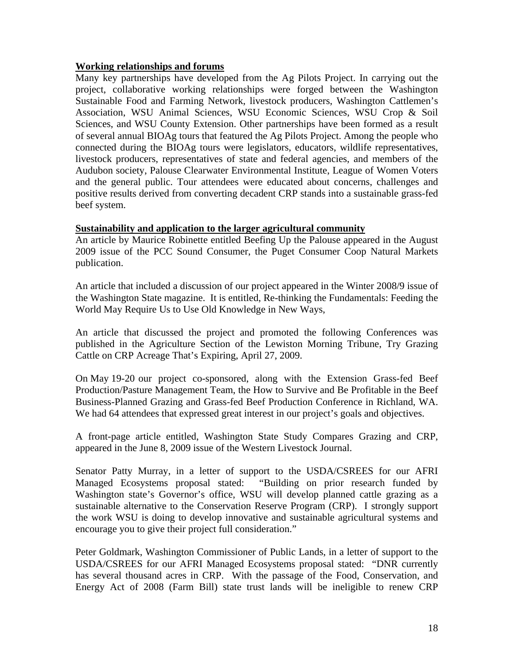## **Working relationships and forums**

Many key partnerships have developed from the Ag Pilots Project. In carrying out the project, collaborative working relationships were forged between the Washington Sustainable Food and Farming Network, livestock producers, Washington Cattlemen's Association, WSU Animal Sciences, WSU Economic Sciences, WSU Crop & Soil Sciences, and WSU County Extension. Other partnerships have been formed as a result of several annual BIOAg tours that featured the Ag Pilots Project. Among the people who connected during the BIOAg tours were legislators, educators, wildlife representatives, livestock producers, representatives of state and federal agencies, and members of the Audubon society, Palouse Clearwater Environmental Institute, League of Women Voters and the general public. Tour attendees were educated about concerns, challenges and positive results derived from converting decadent CRP stands into a sustainable grass-fed beef system.

## **Sustainability and application to the larger agricultural community**

An article by Maurice Robinette entitled Beefing Up the Palouse appeared in the August 2009 issue of the PCC Sound Consumer, the Puget Consumer Coop Natural Markets publication.

An article that included a discussion of our project appeared in the Winter 2008/9 issue of the Washington State magazine. It is entitled, Re-thinking the Fundamentals: Feeding the World May Require Us to Use Old Knowledge in New Ways,

An article that discussed the project and promoted the following Conferences was published in the Agriculture Section of the Lewiston Morning Tribune, Try Grazing Cattle on CRP Acreage That's Expiring, April 27, 2009.

On May 19-20 our project co-sponsored, along with the Extension Grass-fed Beef Production/Pasture Management Team, the How to Survive and Be Profitable in the Beef Business-Planned Grazing and Grass-fed Beef Production Conference in Richland, WA. We had 64 attendees that expressed great interest in our project's goals and objectives.

A front-page article entitled, Washington State Study Compares Grazing and CRP, appeared in the June 8, 2009 issue of the Western Livestock Journal.

Senator Patty Murray, in a letter of support to the USDA/CSREES for our AFRI Managed Ecosystems proposal stated: "Building on prior research funded by Washington state's Governor's office, WSU will develop planned cattle grazing as a sustainable alternative to the Conservation Reserve Program (CRP). I strongly support the work WSU is doing to develop innovative and sustainable agricultural systems and encourage you to give their project full consideration."

Peter Goldmark, Washington Commissioner of Public Lands, in a letter of support to the USDA/CSREES for our AFRI Managed Ecosystems proposal stated: "DNR currently has several thousand acres in CRP. With the passage of the Food, Conservation, and Energy Act of 2008 (Farm Bill) state trust lands will be ineligible to renew CRP